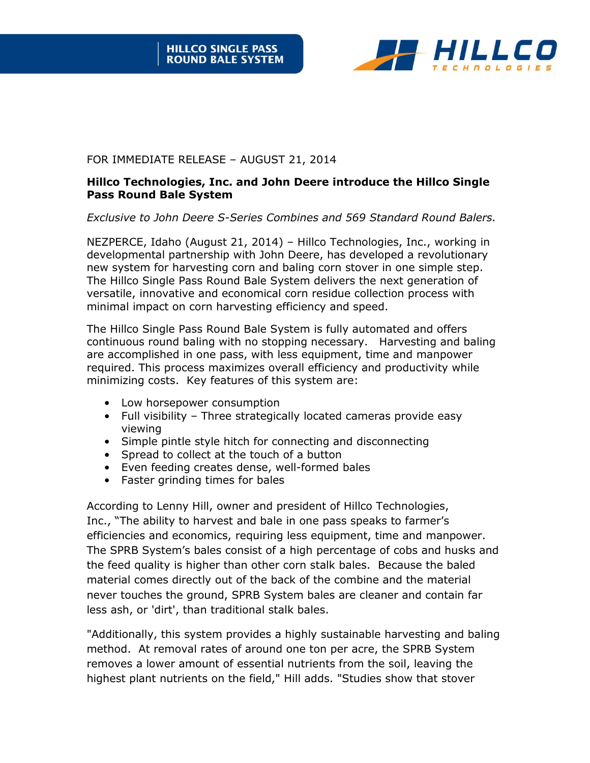

## FOR IMMEDIATE RELEASE – AUGUST 21, 2014

## **Hillco Technologies, Inc. and John Deere introduce the Hillco Single Pass Round Bale System**

*Exclusive to John Deere S-Series Combines and 569 Standard Round Balers.* 

NEZPERCE, Idaho (August 21, 2014) – Hillco Technologies, Inc., working in developmental partnership with John Deere, has developed a revolutionary new system for harvesting corn and baling corn stover in one simple step. The Hillco Single Pass Round Bale System delivers the next generation of versatile, innovative and economical corn residue collection process with minimal impact on corn harvesting efficiency and speed.

The Hillco Single Pass Round Bale System is fully automated and offers continuous round baling with no stopping necessary. Harvesting and baling are accomplished in one pass, with less equipment, time and manpower required. This process maximizes overall efficiency and productivity while minimizing costs. Key features of this system are:

- Low horsepower consumption
- Full visibility Three strategically located cameras provide easy viewing
- Simple pintle style hitch for connecting and disconnecting
- Spread to collect at the touch of a button
- Even feeding creates dense, well-formed bales
- Faster grinding times for bales

According to Lenny Hill, owner and president of Hillco Technologies, Inc., "The ability to harvest and bale in one pass speaks to farmer's efficiencies and economics, requiring less equipment, time and manpower. The SPRB System's bales consist of a high percentage of cobs and husks and the feed quality is higher than other corn stalk bales. Because the baled material comes directly out of the back of the combine and the material never touches the ground, SPRB System bales are cleaner and contain far less ash, or 'dirt', than traditional stalk bales.

"Additionally, this system provides a highly sustainable harvesting and baling method. At removal rates of around one ton per acre, the SPRB System removes a lower amount of essential nutrients from the soil, leaving the highest plant nutrients on the field," Hill adds. "Studies show that stover